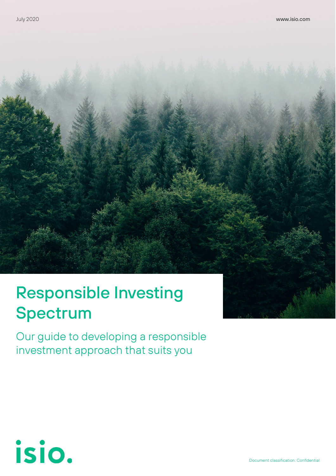## Responsible Investing Spectrum

Our guide to developing a responsible investment approach that suits you

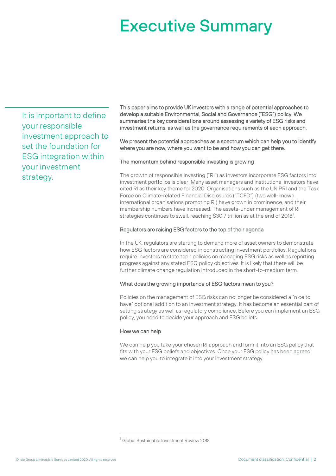## Executive Summary

It is important to define your responsible investment approach to set the foundation for ESG integration within your investment strategy.

This paper aims to provide UK investors with a range of potential approaches to develop a suitable Environmental, Social and Governance ("ESG") policy. We summarise the key considerations around assessing a variety of ESG risks and investment returns, as well as the governance requirements of each approach.

We present the potential approaches as a spectrum which can help you to identify where you are now, where you want to be and how you can get there.

#### The momentum behind responsible investing is growing

The growth of responsible investing ("RI") as investors incorporate ESG factors into investment portfolios is clear. Many asset managers and institutional investors have cited RI as their key theme for 2020. Organisations such as the UN PRI and the Task Force on Climate-related Financial Disclosures ("TCFD") (two well-known international organisations promoting RI) have grown in prominence, and their membership numbers have increased. The assets-under management of RI strategies continues to swell, reaching \$30.7 trillion as at the end of 20[1](#page-1-0)8<sup>1</sup>.

#### Regulators are raising ESG factors to the top of their agenda

In the UK, regulators are starting to demand more of asset owners to demonstrate how ESG factors are considered in constructing investment portfolios. Regulations require investors to state their policies on managing ESG risks as well as reporting progress against any stated ESG policy objectives. It is likely that there will be further climate change regulation introduced in the short-to-medium term.

#### What does the growing importance of ESG factors mean to you?

Policies on the management of ESG risks can no longer be considered a "nice to have" optional addition to an investment strategy. It has become an essential part of setting strategy as well as regulatory compliance. Before you can implement an ESG policy, you need to decide your approach and ESG beliefs.

#### How we can help

We can help you take your chosen RI approach and form it into an ESG policy that fits with your ESG beliefs and objectives. Once your ESG policy has been agreed, we can help you to integrate it into your investment strategy.

<span id="page-1-0"></span><sup>&</sup>lt;sup>1</sup> Global Sustainable Investment Review 2018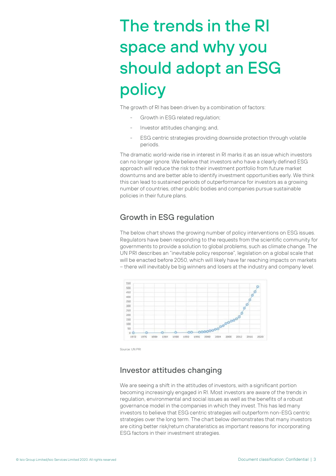## The trends in the RI space and why you should adopt an ESG policy

The growth of RI has been driven by a combination of factors:

- Growth in ESG related regulation;
- Investor attitudes changing; and,
- ESG centric strategies providing downside protection through volatile periods.

The dramatic world-wide rise in interest in RI marks it as an issue which investors can no longer ignore. We believe that investors who have a clearly defined ESG approach will reduce the risk to their investment portfolio from future market downturns and are better able to identify investment opportunities early. We think this can lead to sustained periods of outperformance for investors as a growing number of countries, other public bodies and companies pursue sustainable policies in their future plans.

## Growth in ESG regulation

The below chart shows the growing number of policy interventions on ESG issues. Regulators have been responding to the requests from the scientific community for governments to provide a solution to global problems, such as climate change. The UN PRI describes an "inevitable policy response", legislation on a global scale that will be enacted before 2050, which will likely have far reaching impacts on markets – there will inevitably be big winners and losers at the industry and company level.



Source: UN PRI

## Investor attitudes changing

We are seeing a shift in the attitudes of investors, with a significant portion becoming increasingly engaged in RI. Most investors are aware of the trends in regulation, environmental and social issues as well as the benefits of a robust governance model in the companies in which they invest. This has led many investors to believe that ESG centric strategies will outperform non-ESG centric strategies over the long term. The chart below demonstrates that many investors are citing better risk/return charateristics as important reasons for incorporating ESG factors in their investment strategies.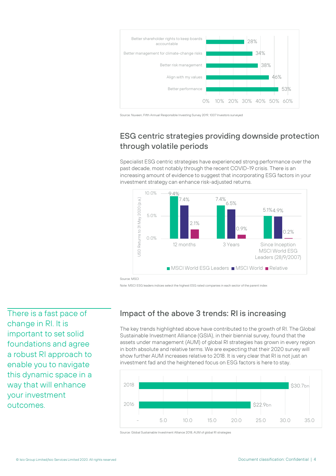

Source: Nuveen, Fifth Annual Responsible Investing Survey 2019, 1007 Investors surveyed

## ESG centric strategies providing downside protection through volatile periods

Specialist ESG centric strategies have experienced strong performance over the past decade, most notably through the recent COVID-19 crisis. There is an increasing amount of evidence to suggest that incorporating ESG factors in your investment strategy can enhance risk-adjusted returns.



Source: MSC

Note: MSCI ESG leaders indices select the highest ESG rated companies in each sector of the parent index

There is a fast pace of change in RI. It is important to set solid foundations and agree a robust RI approach to enable you to navigate this dynamic space in a way that will enhance your investment outcomes.

## Impact of the above 3 trends: RI is increasing

The key trends highlighted above have contributed to the growth of RI. The Global Sustainable Investment Alliance (GSIA), in their biennial survey, found that the assets under management (AUM) of global RI strategies has grown in every region in both absolute and relative terms. We are expecting that their 2020 survey will show further AUM increases relative to 2018. It is very clear that RI is not just an investment fad and the heightened focus on ESG factors is here to stay.



Source: Global Sustainable Investment Alliance 2018, AUM of global RI strategies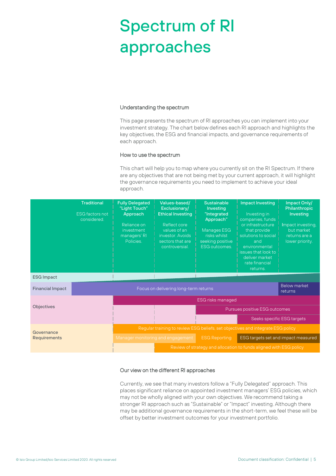## Spectrum of RI approaches

#### Understanding the spectrum

This page presents the spectrum of RI approaches you can implement into your investment strategy. The chart below defines each RI approach and highlights the key objectives, the ESG and financial impacts, and governance requirements of each approach.

#### How to use the spectrum

This chart will help you to map where you currently sit on the RI Spectrum. If there are any objectives that are not being met by your current approach, it will highlight the governance requirements you need to implement to achieve your ideal approach.

|                                   | <b>Traditional</b><br><b>ESG factors not</b><br>considered | <b>Fully Delegated</b><br>"Light Touch"<br>Approach<br>Reliance on<br>investment<br>managers' RI<br>Policies. | Values-based/<br>Exclusionary/<br><b>Ethical Investing</b><br>Reflect core<br>values of an<br>investor, Avoids<br>sectors that are<br>controversial | <b>Sustainable</b><br>Investing<br>"Integrated<br>Approach"<br>Manages ESG<br>risks whilst<br>seeking positive<br><b>ESG outcomes.</b> | <b>Impact Investing</b><br>Investing in<br>companies, funds<br>or infrastructure<br>that provide<br>solutions to social<br>and<br>environmental<br>issues that look to<br>deliver market<br>rate financial<br>returns. | Impact Only/<br><b>Philanthropic</b><br>Investing<br>Impact investing,<br>but market<br>returns are a<br>lower priority. |
|-----------------------------------|------------------------------------------------------------|---------------------------------------------------------------------------------------------------------------|-----------------------------------------------------------------------------------------------------------------------------------------------------|----------------------------------------------------------------------------------------------------------------------------------------|------------------------------------------------------------------------------------------------------------------------------------------------------------------------------------------------------------------------|--------------------------------------------------------------------------------------------------------------------------|
| <b>ESG Impact</b>                 |                                                            |                                                                                                               |                                                                                                                                                     |                                                                                                                                        |                                                                                                                                                                                                                        |                                                                                                                          |
| <b>Financial Impact</b>           |                                                            | <b>Below market</b><br>Focus on delivering long-term returns<br>returns                                       |                                                                                                                                                     |                                                                                                                                        |                                                                                                                                                                                                                        |                                                                                                                          |
| <b>Objectives</b>                 |                                                            | <b>ESG risks managed</b>                                                                                      |                                                                                                                                                     |                                                                                                                                        |                                                                                                                                                                                                                        |                                                                                                                          |
|                                   |                                                            | Pursues positive ESG outcomes                                                                                 |                                                                                                                                                     |                                                                                                                                        |                                                                                                                                                                                                                        |                                                                                                                          |
|                                   |                                                            |                                                                                                               |                                                                                                                                                     |                                                                                                                                        |                                                                                                                                                                                                                        | Seeks specific ESG targets                                                                                               |
| Governance<br><b>Requirements</b> |                                                            | Regular training to review ESG beliefs, set objectives and integrate ESG policy                               |                                                                                                                                                     |                                                                                                                                        |                                                                                                                                                                                                                        |                                                                                                                          |
|                                   |                                                            | Manager monitoring and engagement                                                                             |                                                                                                                                                     | <b>ESG Reporting</b>                                                                                                                   | ESG targets set and impact measured                                                                                                                                                                                    |                                                                                                                          |
|                                   |                                                            |                                                                                                               | Review of strategy and allocation to funds aligned with ESG policy                                                                                  |                                                                                                                                        |                                                                                                                                                                                                                        |                                                                                                                          |

#### Our view on the different RI approaches

Currently, we see that many investors follow a "Fully Delegated" approach. This places significant reliance on appointed investment managers' ESG policies, which may not be wholly aligned with your own objectives. We recommend taking a stronger RI approach such as "Sustainable" or "Impact" investing. Although there may be additional governance requirements in the short-term, we feel these will be offset by better investment outcomes for your investment portfolio.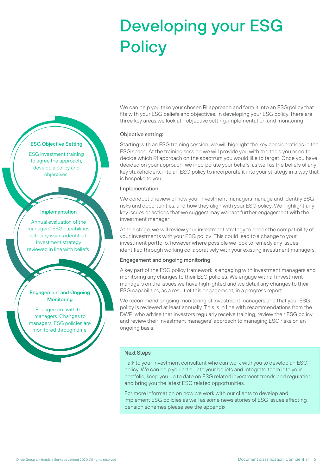## Developing your ESG **Policy**



#### Objective setting:

Starting with an ESG training session, we will highlight the key considerations in the ESG space. At the training session we will provide you with the tools you need to decide which RI approach on the spectrum you would like to target. Once you have decided on your approach, we incorporate your beliefs, as well as the beliefs of any key stakeholders, into an ESG policy to incorporate it into your strategy in a way that is bespoke to you.

#### Implementation

We conduct a review of how your investment managers manage and identify ESG risks and opportunities, and how they align with your ESG policy. We highlight any key issues or actions that we suggest may warrant further engagement with the investment manager.

At this stage, we will review your investment strategy to check the compatibility of your investments with your ESG policy. This could lead to a change to your investment portfolio, however where possible we look to remedy any issues identified through working collaboratively with your existing investment managers.

#### Engagement and ongoing monitoring

A key part of the ESG policy framework is engaging with investment managers and monitoring any changes to their ESG policies. We engage with all investment managers on the issues we have highlighted and we detail any changes to their ESG capabilities, as a result of this engagement, in a progress report.

We recommend ongoing monitoring of investment managers and that your ESG policy is reviewed at least annually. This is in line with recommendations from the DWP, who advise that investors regularly receive training, review their ESG policy and review their investment managers' approach to managing ESG risks on an ongoing basis.

#### Next Steps

Talk to your investment consultant who can work with you to develop an ESG policy. We can help you articulate your beliefs and integrate them into your portfolio, keep you up to date on ESG related investment trends and regulation, and bring you the latest ESG related opportunities.

For more information on how we work with our clients to develop and implement ESG policies as well as some news stories of ESG issues affecting pension schemes please see the appendix.

#### ESG Objective Setting

ESG investment training to agree the approach, develop a policy and objectives.

#### Implementation

Annual evaluation of the managers' ESG capabilities with any issues identified. Investment strategy reviewed in line with beliefs.

#### Engagement and Ongoing **Monitoring**

Engagement with the managers. Changes to managers' ESG policies are monitored through time.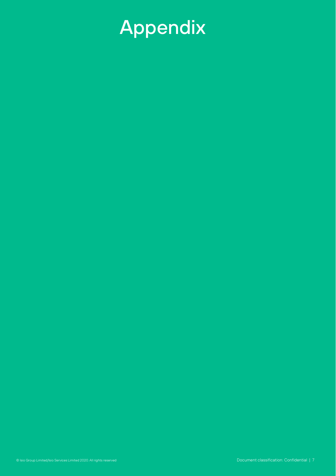# Appendix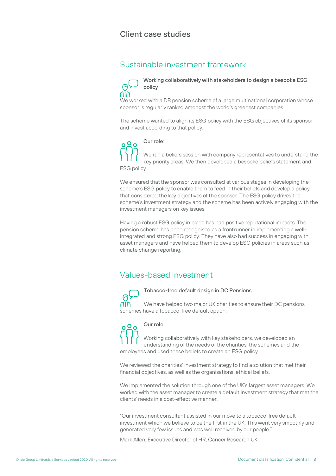### Client case studies

### Sustainable investment framework

#### Working collaboratively with stakeholders to design a bespoke ESG  $\Theta$ policy

We worked with a DB pension scheme of a large multinational corporation whose sponsor is regularly ranked amongst the world's greenest companies.

The scheme wanted to align its ESG policy with the ESG objectives of its sponsor and invest according to that policy.



#### Our role:

We ran a beliefs session with company representatives to understand the key priority areas. We then developed a bespoke beliefs statement and ESG policy.

We ensured that the sponsor was consulted at various stages in developing the scheme's ESG policy to enable them to feed in their beliefs and develop a policy that considered the key objectives of the sponsor. The ESG policy drives the scheme's investment strategy and the scheme has been actively engaging with the investment managers on key issues.

Having a robust ESG policy in place has had positive reputational impacts. The pension scheme has been recognised as a frontrunner in implementing a wellintegrated and strong ESG policy. They have also had success in engaging with asset managers and have helped them to develop ESG policies in areas such as climate change reporting.

## Values-based investment

Tobacco-free default design in DC Pensions We have helped two major UK charities to ensure their DC pensions **AIN** schemes have a tobacco-free default option.

#### Our role:  $0<sup>0</sup>$

Working collaboratively with key stakeholders, we developed an understanding of the needs of the charities, the schemes and the employees and used these beliefs to create an ESG policy.

We reviewed the charities' investment strategy to find a solution that met their financial objectives, as well as the organisations' ethical beliefs.

We implemented the solution through one of the UK's largest asset managers. We worked with the asset manager to create a default investment strategy that met the clients' needs in a cost-effective manner.

"Our investment consultant assisted in our move to a tobacco-free default investment which we believe to be the first in the UK. This went very smoothly and generated very few issues and was well received by our people."

Mark Allen, Executive Director of HR, Cancer Research UK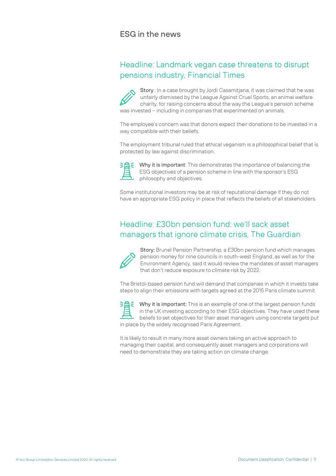### ESG in the news

## Headline: Landmark vegan case threatens to disrupt pensions industry, Financial Times

Story : In a case brought by Jordi Casamitjana, it was claimed that he was unfairly dismissed by the League Against Cruel Sports, an animal welfare charity, for raising concerns about the way the League's pension scheme was invested – including in companies that experimented on animals.

The employee's concern was that donors expect their donations to be invested in a way compatible with their beliefs.

The employment tribunal ruled that ethical veganism is a philosophical belief that is protected by law against discrimination.



Why it is important: This demonstrates the importance of balancing the ESG objectives of a pension scheme in line with the sponsor's ESG philosophy and objectives.

Some institutional investors may be at risk of reputational damage if they do not have an appropriate ESG policy in place that reflects the beliefs of all stakeholders.

## Headline: £30bn pension fund: we'll sack asset managers that ignore climate crisis, The Guardian



Story: Brunel Pension Partnership, a £30bn pension fund which manages pension money for nine councils in south-west England, as well as for the Environment Agency, said it would review the mandates of asset managers that don't reduce exposure to climate risk by 2022.

The Bristol-based pension fund will demand that companies in which it invests take steps to align their emissions with targets agreed at the 2015 Paris climate summit.



Why it is important: This is an example of one of the largest pension funds in the UK investing according to their ESG objectives. They have used these beliefs to set objectives for their asset managers using concrete targets put in place by the widely recognised Paris Agreement.

It is likely to result in many more asset owners taking an active approach to managing their capital, and consequently asset managers and corporations will need to demonstrate they are taking action on climate change.